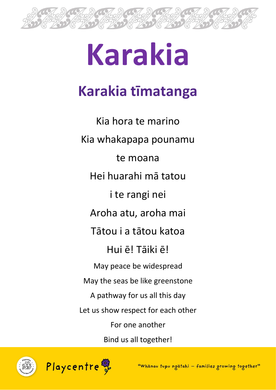

# **Karakia**

# **Karakia tīmatanga**

Kia hora te marino Kia whakapapa pounamu te moana Hei huarahi mā tatou i te rangi nei Aroha atu, aroha mai Tātou i a tātou katoa Hui ē! Tāiki ē! May peace be widespread May the seas be like greenstone A pathway for us all this day Let us show respect for each other For one another Bind us all together!



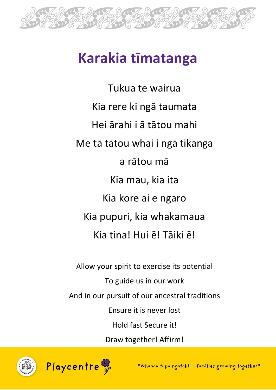

Tukua te wairua Kia rere ki ngā taumata Hei ārahi i ā tātou mahi Me tā tātou whai i ngā tikanga a rātou mā Kia mau, kia ita Kia kore ai e ngaro Kia pupuri, kia whakamaua Kia tina! Hui ē! Tāiki ē!

Allow your spirit to exercise its potential To guide us in our work And in our pursuit of our ancestral traditions Ensure it is never lost Hold fast Secure it! Draw together! Affirm!



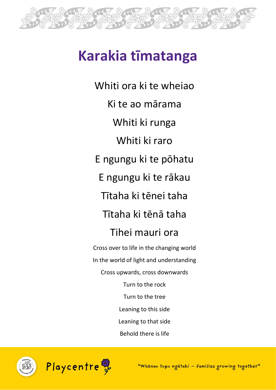

Whiti ora ki te wheiao Ki te ao mārama Whiti ki runga Whiti ki raro E ngungu ki te pōhatu E ngungu ki te rākau Tītaha ki tēnei taha Tītaha ki tēnā taha Tihei mauri ora

Cross over to life in the changing world In the world of light and understanding Cross upwards, cross downwards Turn to the rock Turn to the tree Leaning to this side Leaning to that side Behold there is life



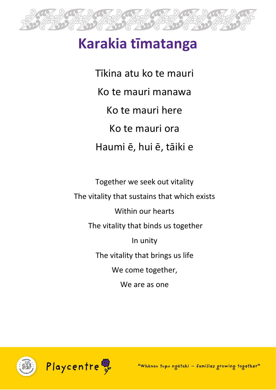

Tīkina atu ko te mauri Ko te mauri manawa Ko te mauri here Ko te mauri ora Haumi ē, hui ē, tāiki e

Together we seek out vitality The vitality that sustains that which exists Within our hearts The vitality that binds us together In unity The vitality that brings us life We come together, We are as one

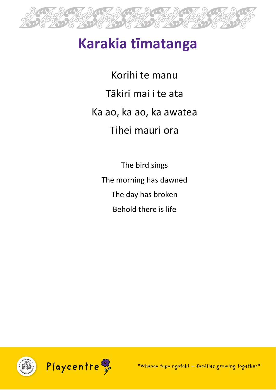

Korihi te manu Tākiri mai i te ata Ka ao, ka ao, ka awatea Tihei mauri ora

The bird sings The morning has dawned The day has broken Behold there is life

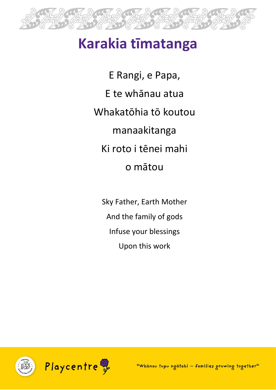

E Rangi, e Papa, E te whānau atua Whakatōhia tō koutou manaakitanga Ki roto i tēnei mahi o mātou

Sky Father, Earth Mother And the family of gods Infuse your blessings Upon this work

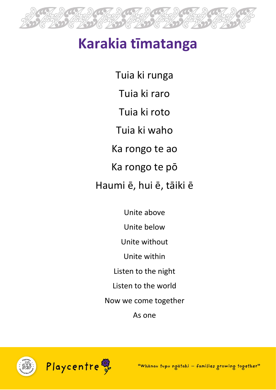

Tuia ki runga Tuia ki raro Tuia ki roto Tuia ki waho Ka rongo te ao Ka rongo te pō Haumi ē, hui ē, tāiki ē

Unite above Unite below Unite without Unite within Listen to the night Listen to the world Now we come together As one



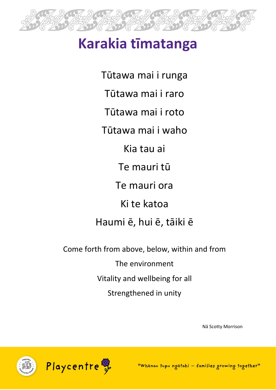

Tūtawa mai i runga Tūtawa mai i raro Tūtawa mai i roto Tūtawa mai i waho Kia tau ai Te mauri tū Te mauri ora

Ki te katoa

Haumi ē, hui ē, tāiki ē

Come forth from above, below, within and from

The environment

Vitality and wellbeing for all

Strengthened in unity

Nā Scotty Morrison



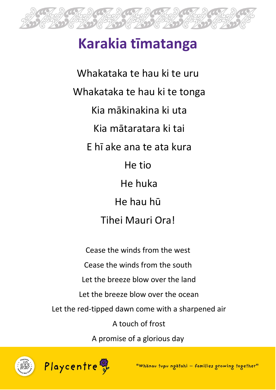

Whakataka te hau ki te uru Whakataka te hau ki te tonga Kia mākinakina ki uta Kia mātaratara ki tai E hī ake ana te ata kura He tio He huka He hau hū Tihei Mauri Ora!

Cease the winds from the west Cease the winds from the south Let the breeze blow over the land Let the breeze blow over the ocean Let the red-tipped dawn come with a sharpened air A touch of frost A promise of a glorious day



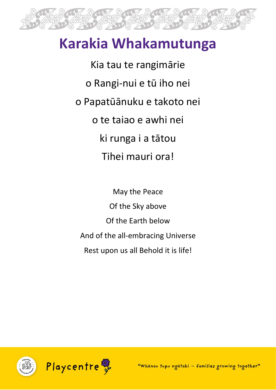

Kia tau te rangimārie o Rangi-nui e tū iho nei o Papatūānuku e takoto nei o te taiao e awhi nei ki runga i a tātou Tihei mauri ora!

May the Peace Of the Sky above Of the Earth below And of the all-embracing Universe Rest upon us all Behold it is life!

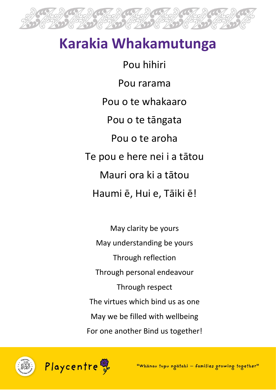

Pou hihiri Pou rarama Pou o te whakaaro Pou o te tāngata Pou o te aroha Te pou e here nei i a tātou Mauri ora ki a tātou Haumi ē, Hui e, Tāiki ē!

May clarity be yours May understanding be yours Through reflection Through personal endeavour Through respect The virtues which bind us as one May we be filled with wellbeing For one another Bind us together!



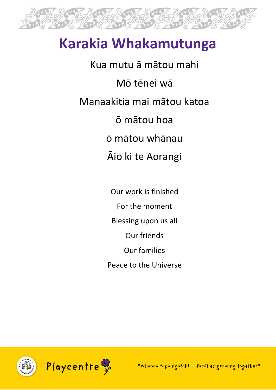

Kua mutu ā mātou mahi Mō tēnei wā Manaakitia mai mātou katoa ō mātou hoa ō mātou whānau Āio ki te Aorangi

> Our work is finished For the moment Blessing upon us all Our friends Our families Peace to the Universe

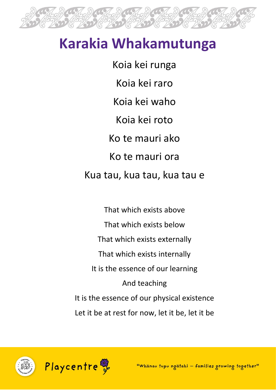

Koia kei runga Koia kei raro Koia kei waho Koia kei roto Ko te mauri ako Ko te mauri ora Kua tau, kua tau, kua tau e

That which exists above That which exists below That which exists externally That which exists internally It is the essence of our learning And teaching It is the essence of our physical existence Let it be at rest for now, let it be, let it be



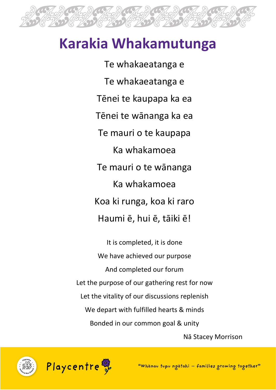

Te whakaeatanga e Te whakaeatanga e Tēnei te kaupapa ka ea Tēnei te wānanga ka ea Te mauri o te kaupapa Ka whakamoea Te mauri o te wānanga Ka whakamoea Koa ki runga, koa ki raro Haumi ē, hui ē, tāiki ē!

It is completed, it is done We have achieved our purpose And completed our forum Let the purpose of our gathering rest for now Let the vitality of our discussions replenish We depart with fulfilled hearts & minds Bonded in our common goal & unity

Nā Stacey Morrison



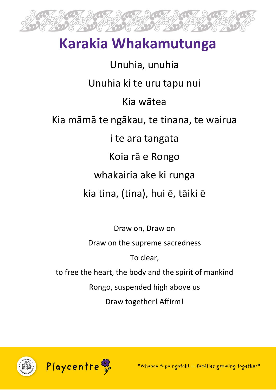

Unuhia, unuhia Unuhia ki te uru tapu nui Kia wātea Kia māmā te ngākau, te tinana, te wairua i te ara tangata Koia rā e Rongo whakairia ake ki runga kia tina, (tina), hui ē, tāiki ē

Draw on, Draw on Draw on the supreme sacredness To clear, to free the heart, the body and the spirit of mankind Rongo, suspended high above us Draw together! Affirm!



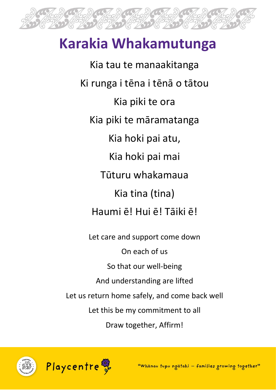

Kia tau te manaakitanga Ki runga i tēna i tēnā o tātou Kia piki te ora Kia piki te māramatanga Kia hoki pai atu, Kia hoki pai mai Tūturu whakamaua Kia tina (tina) Haumi ē! Hui ē! Tāiki ē! Let care and support come down On each of us So that our well-being

And understanding are lifted

Let us return home safely, and come back well

Let this be my commitment to all

Draw together, Affirm!



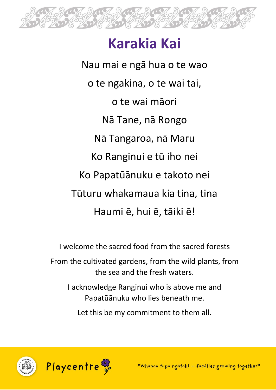

# **Karakia Kai**

Nau mai e ngā hua o te wao o te ngakina, o te wai tai, o te wai māori Nā Tane, nā Rongo Nā Tangaroa, nā Maru Ko Ranginui e tū iho nei Ko Papatūānuku e takoto nei Tūturu whakamaua kia tina, tina Haumi ē, hui ē, tāiki ē!

I welcome the sacred food from the sacred forests From the cultivated gardens, from the wild plants, from the sea and the fresh waters.

I acknowledge Ranginui who is above me and Papatūānuku who lies beneath me.

Let this be my commitment to them all.



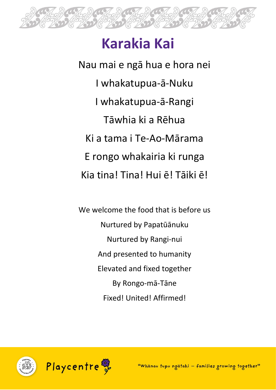

# **Karakia Kai**

Nau mai e ngā hua e hora nei I whakatupua-ā-Nuku I whakatupua-ā-Rangi Tāwhia ki a Rēhua Ki a tama i Te-Ao-Mārama E rongo whakairia ki runga Kia tina! Tina! Hui ē! Tāiki ē!

We welcome the food that is before us Nurtured by Papatūānuku Nurtured by Rangi-nui And presented to humanity Elevated and fixed together By Rongo-mā-Tāne Fixed! United! Affirmed!